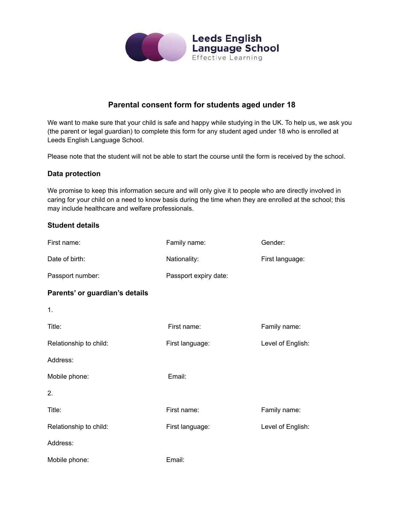

# **Parental consent form for students aged under 18**

We want to make sure that your child is safe and happy while studying in the UK. To help us, we ask you (the parent or legal guardian) to complete this form for any student aged under 18 who is enrolled at Leeds English Language School.

Please note that the student will not be able to start the course until the form is received by the school.

### **Data protection**

We promise to keep this information secure and will only give it to people who are directly involved in caring for your child on a need to know basis during the time when they are enrolled at the school; this may include healthcare and welfare professionals.

### **Student details**

| First name:                    | Family name:          | Gender:           |
|--------------------------------|-----------------------|-------------------|
| Date of birth:                 | Nationality:          | First language:   |
| Passport number:               | Passport expiry date: |                   |
| Parents' or guardian's details |                       |                   |
| 1.                             |                       |                   |
| Title:                         | First name:           | Family name:      |
| Relationship to child:         | First language:       | Level of English: |
| Address:                       |                       |                   |
| Mobile phone:                  | Email:                |                   |
| 2.                             |                       |                   |
| Title:                         | First name:           | Family name:      |
| Relationship to child:         | First language:       | Level of English: |
| Address:                       |                       |                   |
| Mobile phone:                  | Email:                |                   |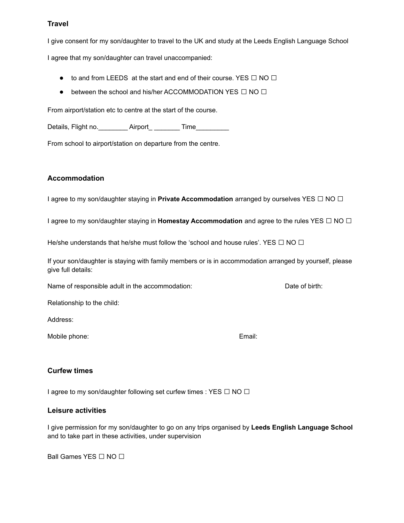## **Travel**

I give consent for my son/daughter to travel to the UK and study at the Leeds English Language School

I agree that my son/daughter can travel unaccompanied:

- $\bullet$  to and from LEEDS at the start and end of their course. YES  $\Box$  NO  $\Box$
- between the school and his/her ACCOMMODATION YES □ NO □

From airport/station etc to centre at the start of the course.

Details, Flight no. \_\_\_\_\_\_\_\_\_\_ Airport\_ \_\_\_\_\_\_\_\_ Time\_\_\_\_\_\_\_\_\_\_

From school to airport/station on departure from the centre.

### **Accommodation**

<sup>I</sup> agree to my son/daughter staying in **Private Accommodation** arranged by ourselves YES □ NO □

<sup>I</sup> agree to my son/daughter staying in **Homestay Accommodation** and agree to the rules YES □ NO □

He/she understands that he/she must follow the 'school and house rules'. YES  $\Box$  NO  $\Box$ 

If your son/daughter is staying with family members or is in accommodation arranged by yourself, please give full details:

Name of responsible adult in the accommodation: Date of birth:

Relationship to the child:

Address:

Mobile phone: Email: Email: Email: Email: Email: Email: Email: Email: Email: Email: Email: Email: Email: Email:  $E$ 

### **Curfew times**

I agree to my son/daughter following set curfew times : YES □ NO □

### **Leisure activities**

I give permission for my son/daughter to go on any trips organised by **Leeds English Language School** and to take part in these activities, under supervision

Ball Games YES □ NO □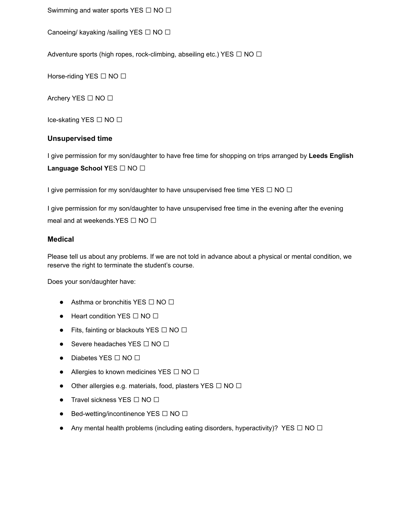Swimming and water sports YES □ NO □

Canoeing/ kayaking /sailing YES □ NO □

Adventure sports (high ropes, rock-climbing, abseiling etc.) YES  $\Box$  NO  $\Box$ 

Horse-riding YES □ NO □

Archery YES □ NO □

Ice-skating YES □ NO □

#### **Unsupervised time**

I give permission for my son/daughter to have free time for shopping on trips arranged by **Leeds English Language School <sup>Y</sup>**ES □ NO □

I give permission for my son/daughter to have unsupervised free time YES  $\Box$  NO  $\Box$ 

I give permission for my son/daughter to have unsupervised free time in the evening after the evening meal and at weekends.YES □ NO □

#### **Medical**

Please tell us about any problems. If we are not told in advance about a physical or mental condition, we reserve the right to terminate the student's course.

Does your son/daughter have:

- Asthma or bronchitis YES □ NO □
- Heart condition YES □ NO □
- Fits, fainting or blackouts YES  $\Box$  NO  $\Box$
- Severe headaches YES □ NO □
- Diabetes YES □ NO □
- Allergies to known medicines YES  $\Box$  NO  $\Box$
- Other allergies e.g. materials, food, plasters YES □ NO □
- Travel sickness YES □ NO □
- Bed-wetting/incontinence YES □ NO □
- Any mental health problems (including eating disorders, hyperactivity)? YES  $\Box$  NO  $\Box$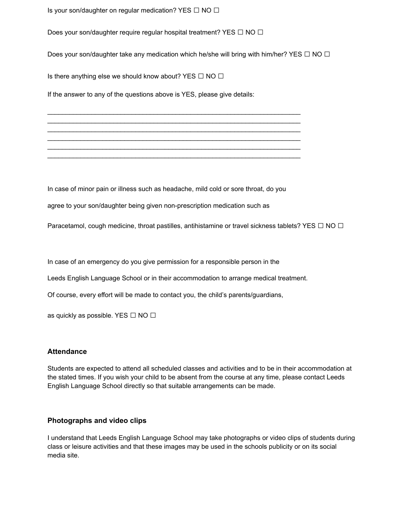Is your son/daughter on regular medication? YES  $\Box$  NO  $\Box$ 

Does your son/daughter require regular hospital treatment? YES □ NO □

Does your son/daughter take any medication which he/she will bring with him/her? YES  $\Box$  NO  $\Box$ 

Is there anything else we should know about? YES  $\Box$  NO  $\Box$ 

If the answer to any of the questions above is YES, please give details:

In case of minor pain or illness such as headache, mild cold or sore throat, do you

 $\_$  ,  $\_$  ,  $\_$  ,  $\_$  ,  $\_$  ,  $\_$  ,  $\_$  ,  $\_$  ,  $\_$  ,  $\_$  ,  $\_$  ,  $\_$  ,  $\_$  ,  $\_$  ,  $\_$  ,  $\_$  ,  $\_$  ,  $\_$  ,  $\_$  ,  $\_$  $\_$  ,  $\_$  ,  $\_$  ,  $\_$  ,  $\_$  ,  $\_$  ,  $\_$  ,  $\_$  ,  $\_$  ,  $\_$  ,  $\_$  ,  $\_$  ,  $\_$  ,  $\_$  ,  $\_$  ,  $\_$  ,  $\_$  ,  $\_$  ,  $\_$  ,  $\_$  $\_$  ,  $\_$  ,  $\_$  ,  $\_$  ,  $\_$  ,  $\_$  ,  $\_$  ,  $\_$  ,  $\_$  ,  $\_$  ,  $\_$  ,  $\_$  ,  $\_$  ,  $\_$  ,  $\_$  ,  $\_$  ,  $\_$  ,  $\_$  ,  $\_$  ,  $\_$  $\mathcal{L}_\text{max}$  , and the contribution of the contribution of the contribution of the contribution of the contribution of the contribution of the contribution of the contribution of the contribution of the contribution of t  $\_$  ,  $\_$  ,  $\_$  ,  $\_$  ,  $\_$  ,  $\_$  ,  $\_$  ,  $\_$  ,  $\_$  ,  $\_$  ,  $\_$  ,  $\_$  ,  $\_$  ,  $\_$  ,  $\_$  ,  $\_$  ,  $\_$  ,  $\_$  ,  $\_$  ,  $\_$  $\_$  ,  $\_$  ,  $\_$  ,  $\_$  ,  $\_$  ,  $\_$  ,  $\_$  ,  $\_$  ,  $\_$  ,  $\_$  ,  $\_$  ,  $\_$  ,  $\_$  ,  $\_$  ,  $\_$  ,  $\_$  ,  $\_$  ,  $\_$  ,  $\_$  ,  $\_$ 

agree to your son/daughter being given non-prescription medication such as

Paracetamol, cough medicine, throat pastilles, antihistamine or travel sickness tablets? YES  $\Box$  NO  $\Box$ 

In case of an emergency do you give permission for a responsible person in the

Leeds English Language School or in their accommodation to arrange medical treatment.

Of course, every effort will be made to contact you, the child's parents/guardians,

as quickly as possible. YES  $\Box$  NO  $\Box$ 

#### **Attendance**

Students are expected to attend all scheduled classes and activities and to be in their accommodation at the stated times. If you wish your child to be absent from the course at any time, please contact Leeds English Language School directly so that suitable arrangements can be made.

#### **Photographs and video clips**

I understand that Leeds English Language School may take photographs or video clips of students during class or leisure activities and that these images may be used in the schools publicity or on its social media site.